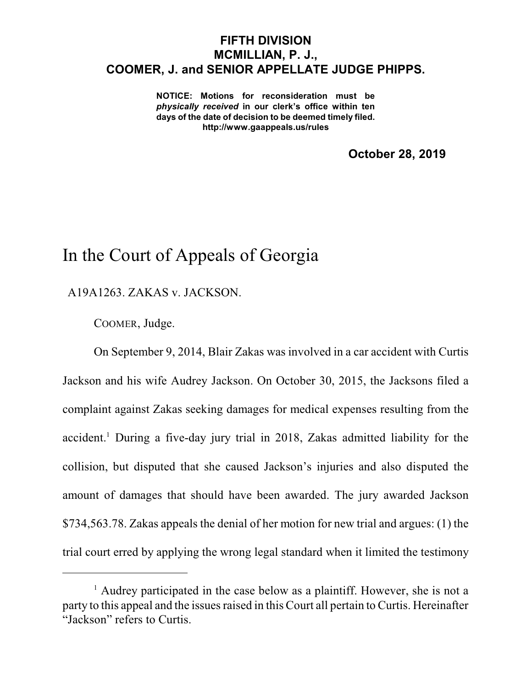## **FIFTH DIVISION MCMILLIAN, P. J., COOMER, J. and SENIOR APPELLATE JUDGE PHIPPS.**

**NOTICE: Motions for reconsideration must be** *physically received* **in our clerk's office within ten days of the date of decision to be deemed timely filed. http://www.gaappeals.us/rules**

**October 28, 2019**

## In the Court of Appeals of Georgia

A19A1263. ZAKAS v. JACKSON.

COOMER, Judge.

On September 9, 2014, Blair Zakas was involved in a car accident with Curtis Jackson and his wife Audrey Jackson. On October 30, 2015, the Jacksons filed a complaint against Zakas seeking damages for medical expenses resulting from the accident. <sup>1</sup> During a five-day jury trial in 2018, Zakas admitted liability for the collision, but disputed that she caused Jackson's injuries and also disputed the amount of damages that should have been awarded. The jury awarded Jackson \$734,563.78. Zakas appeals the denial of her motion for new trial and argues: (1) the trial court erred by applying the wrong legal standard when it limited the testimony

<sup>&</sup>lt;sup>1</sup> Audrey participated in the case below as a plaintiff. However, she is not a party to this appeal and the issues raised in this Court all pertain to Curtis. Hereinafter "Jackson" refers to Curtis.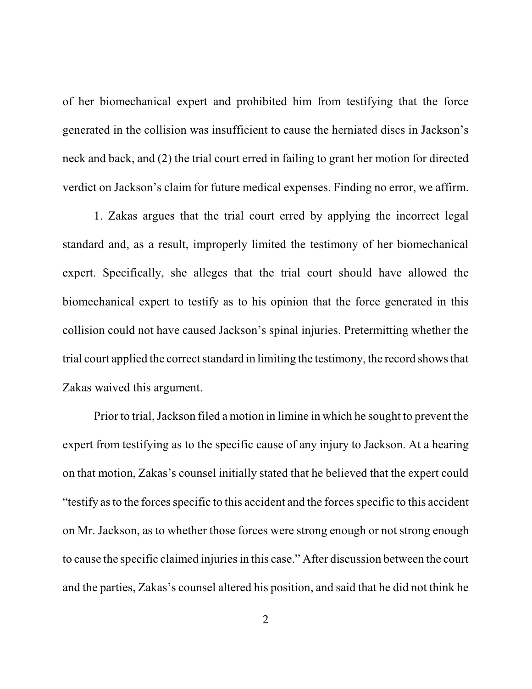of her biomechanical expert and prohibited him from testifying that the force generated in the collision was insufficient to cause the herniated discs in Jackson's neck and back, and (2) the trial court erred in failing to grant her motion for directed verdict on Jackson's claim for future medical expenses. Finding no error, we affirm.

1. Zakas argues that the trial court erred by applying the incorrect legal standard and, as a result, improperly limited the testimony of her biomechanical expert. Specifically, she alleges that the trial court should have allowed the biomechanical expert to testify as to his opinion that the force generated in this collision could not have caused Jackson's spinal injuries. Pretermitting whether the trial court applied the correct standard in limiting the testimony, the record shows that Zakas waived this argument.

Prior to trial, Jackson filed a motion in limine in which he sought to prevent the expert from testifying as to the specific cause of any injury to Jackson. At a hearing on that motion, Zakas's counsel initially stated that he believed that the expert could "testify asto the forcesspecific to this accident and the forcesspecific to this accident on Mr. Jackson, as to whether those forces were strong enough or not strong enough to cause the specific claimed injuries in this case." After discussion between the court and the parties, Zakas's counsel altered his position, and said that he did not think he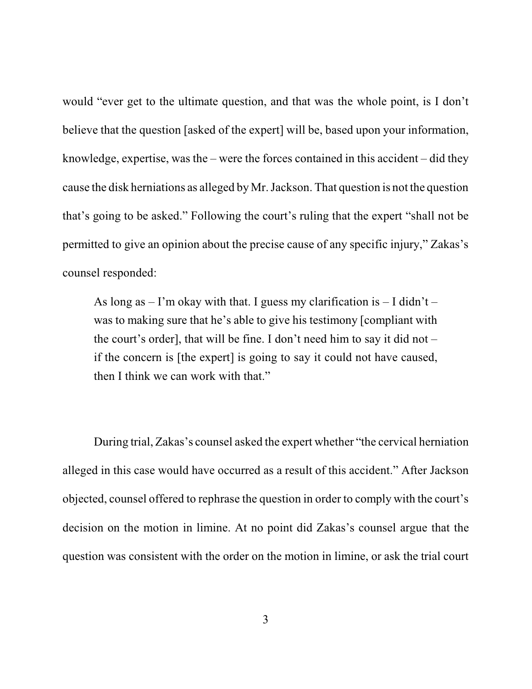would "ever get to the ultimate question, and that was the whole point, is I don't believe that the question [asked of the expert] will be, based upon your information, knowledge, expertise, was the  $-$  were the forces contained in this accident  $-$  did they cause the disk herniations as alleged by Mr. Jackson. That question is not the question that's going to be asked." Following the court's ruling that the expert "shall not be permitted to give an opinion about the precise cause of any specific injury," Zakas's counsel responded:

As long as  $-1$ 'm okay with that. I guess my clarification is  $-1$  didn't  $$ was to making sure that he's able to give his testimony [compliant with the court's order], that will be fine. I don't need him to say it did not – if the concern is [the expert] is going to say it could not have caused, then I think we can work with that."

During trial, Zakas's counsel asked the expert whether "the cervical herniation alleged in this case would have occurred as a result of this accident." After Jackson objected, counsel offered to rephrase the question in order to comply with the court's decision on the motion in limine. At no point did Zakas's counsel argue that the question was consistent with the order on the motion in limine, or ask the trial court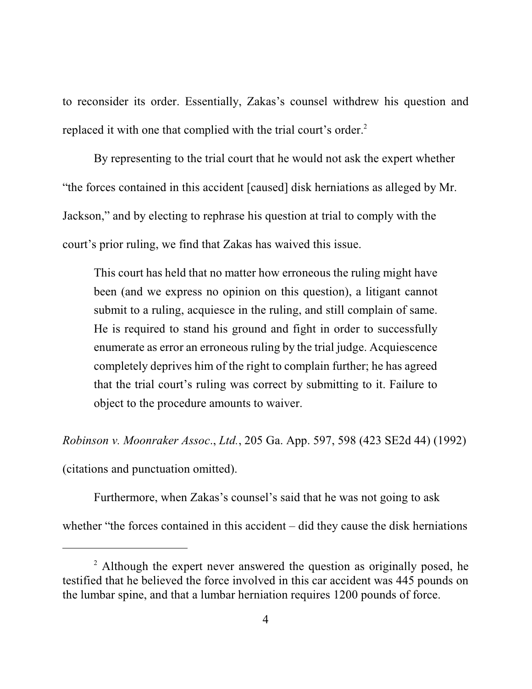to reconsider its order. Essentially, Zakas's counsel withdrew his question and replaced it with one that complied with the trial court's order.<sup>2</sup>

By representing to the trial court that he would not ask the expert whether "the forces contained in this accident [caused] disk herniations as alleged by Mr. Jackson," and by electing to rephrase his question at trial to comply with the court's prior ruling, we find that Zakas has waived this issue.

This court has held that no matter how erroneous the ruling might have been (and we express no opinion on this question), a litigant cannot submit to a ruling, acquiesce in the ruling, and still complain of same. He is required to stand his ground and fight in order to successfully enumerate as error an erroneous ruling by the trial judge. Acquiescence completely deprives him of the right to complain further; he has agreed that the trial court's ruling was correct by submitting to it. Failure to object to the procedure amounts to waiver.

*Robinson v. Moonraker Assoc*., *Ltd.*, 205 Ga. App. 597, 598 (423 SE2d 44) (1992) (citations and punctuation omitted).

Furthermore, when Zakas's counsel's said that he was not going to ask whether "the forces contained in this accident – did they cause the disk herniations

 $2$  Although the expert never answered the question as originally posed, he testified that he believed the force involved in this car accident was 445 pounds on the lumbar spine, and that a lumbar herniation requires 1200 pounds of force.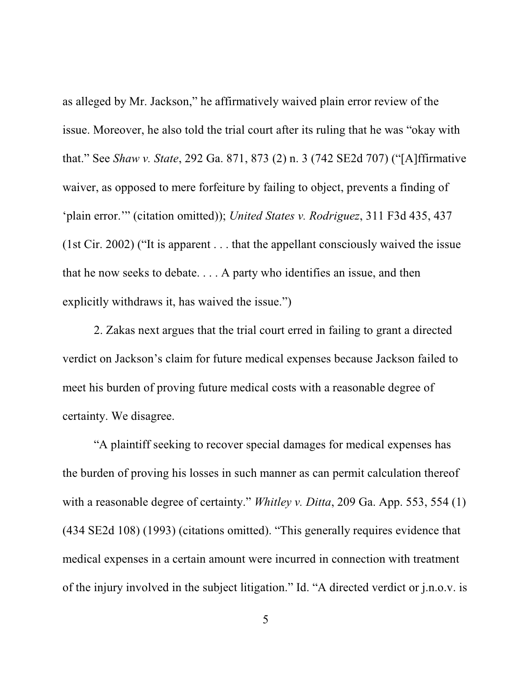as alleged by Mr. Jackson," he affirmatively waived plain error review of the issue. Moreover, he also told the trial court after its ruling that he was "okay with that." See *Shaw v. State*, 292 Ga. 871, 873 (2) n. 3 (742 SE2d 707) ("[A]ffirmative waiver, as opposed to mere forfeiture by failing to object, prevents a finding of 'plain error.'" (citation omitted)); *United States v. Rodriguez*, 311 F3d 435, 437 (1st Cir. 2002) ("It is apparent . . . that the appellant consciously waived the issue that he now seeks to debate. . . . A party who identifies an issue, and then explicitly withdraws it, has waived the issue.")

2. Zakas next argues that the trial court erred in failing to grant a directed verdict on Jackson's claim for future medical expenses because Jackson failed to meet his burden of proving future medical costs with a reasonable degree of certainty. We disagree.

"A plaintiff seeking to recover special damages for medical expenses has the burden of proving his losses in such manner as can permit calculation thereof with a reasonable degree of certainty." *Whitley v. Ditta*, 209 Ga. App. 553, 554 (1) (434 SE2d 108) (1993) (citations omitted). "This generally requires evidence that medical expenses in a certain amount were incurred in connection with treatment of the injury involved in the subject litigation." Id. "A directed verdict or j.n.o.v. is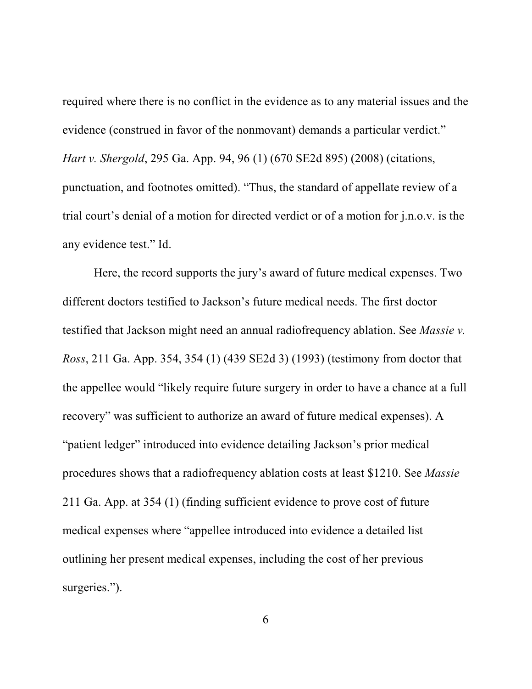required where there is no conflict in the evidence as to any material issues and the evidence (construed in favor of the nonmovant) demands a particular verdict." *Hart v. Shergold*, 295 Ga. App. 94, 96 (1) (670 SE2d 895) (2008) (citations, punctuation, and footnotes omitted). "Thus, the standard of appellate review of a trial court's denial of a motion for directed verdict or of a motion for j.n.o.v. is the any evidence test." Id.

Here, the record supports the jury's award of future medical expenses. Two different doctors testified to Jackson's future medical needs. The first doctor testified that Jackson might need an annual radiofrequency ablation. See *Massie v. Ross*, 211 Ga. App. 354, 354 (1) (439 SE2d 3) (1993) (testimony from doctor that the appellee would "likely require future surgery in order to have a chance at a full recovery" was sufficient to authorize an award of future medical expenses). A "patient ledger" introduced into evidence detailing Jackson's prior medical procedures shows that a radiofrequency ablation costs at least \$1210. See *Massie* 211 Ga. App. at 354 (1) (finding sufficient evidence to prove cost of future medical expenses where "appellee introduced into evidence a detailed list outlining her present medical expenses, including the cost of her previous surgeries.").